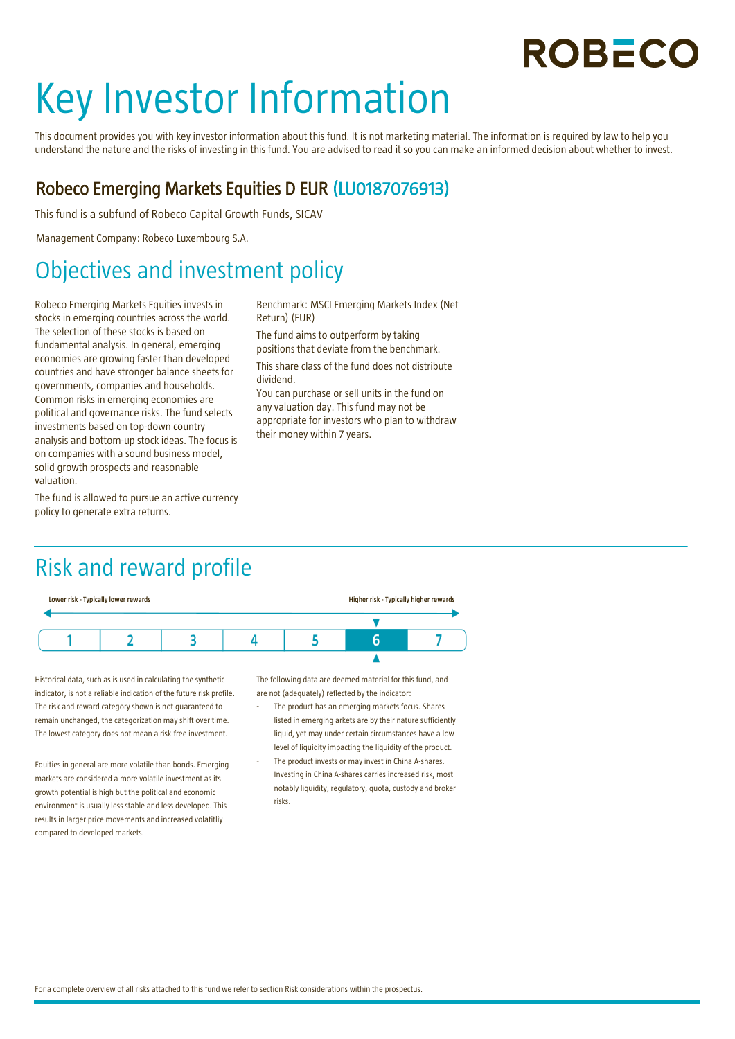## **ROBECO**

# Key Investor Information

This document provides you with key investor information about this fund. It is not marketing material. The information is required by law to help you understand the nature and the risks of investing in this fund. You are advised to read it so you can make an informed decision about whether to invest.

Benchmark: MSCI Emerging Markets Index (Net

The fund aims to outperform by taking positions that deviate from the benchmark. This share class of the fund does not distribute

their money within 7 years.

You can purchase or sell units in the fund on any valuation day. This fund may not be appropriate for investors who plan to withdraw

#### Robeco Emerging Markets Equities D EUR (LU0187076913)

Return) (EUR)

dividend.

This fund is a subfund of Robeco Capital Growth Funds, SICAV

Management Company: Robeco Luxembourg S.A.

## Objectives and investment policy

Robeco Emerging Markets Equities invests in stocks in emerging countries across the world. The selection of these stocks is based on fundamental analysis. In general, emerging economies are growing faster than developed countries and have stronger balance sheets for governments, companies and households. Common risks in emerging economies are political and governance risks. The fund selects investments based on top-down country analysis and bottom-up stock ideas. The focus is on companies with a sound business model, solid growth prospects and reasonable valuation.

The fund is allowed to pursue an active currency policy to generate extra returns.

Risk and reward profile



Historical data, such as is used in calculating the synthetic indicator, is not a reliable indication of the future risk profile. The risk and reward category shown is not guaranteed to remain unchanged, the categorization may shift over time. The lowest category does not mean a risk-free investment.

Equities in general are more volatile than bonds. Emerging markets are considered a more volatile investment as its growth potential is high but the political and economic environment is usually less stable and less developed. This results in larger price movements and increased volatitliy compared to developed markets.

The following data are deemed material for this fund, and are not (adequately) reflected by the indicator:

- The product has an emerging markets focus. Shares listed in emerging arkets are by their nature sufficiently liquid, yet may under certain circumstances have a low level of liquidity impacting the liquidity of the product.
- The product invests or may invest in China A-shares. Investing in China A-shares carries increased risk, most notably liquidity, regulatory, quota, custody and broker risks.